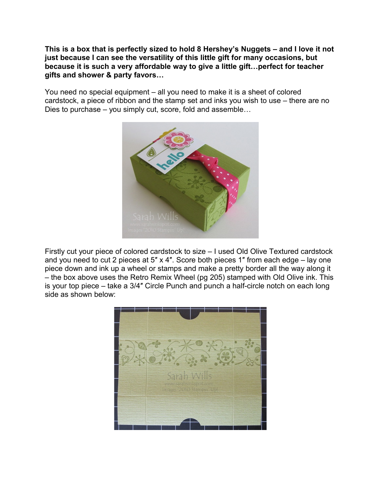**This is a box that is perfectly sized to hold 8 Hershey's Nuggets – and I love it not just because I can see the versatility of this little gift for many occasions, but because it is such a very affordable way to give a little gift…perfect for teacher gifts and shower & party favors…**

You need no special equipment – all you need to make it is a sheet of colored cardstock, a piece of ribbon and the stamp set and inks you wish to use – there are no Dies to purchase – you simply cut, score, fold and assemble…



Firstly cut your piece of colored cardstock to size – I used Old Olive Textured cardstock and you need to cut 2 pieces at 5″ x 4″. Score both pieces 1″ from each edge – lay one piece down and ink up a wheel or stamps and make a pretty border all the way along it – the box above uses the Retro Remix Wheel (pg 205) stamped with Old Olive ink. This is your top piece – take a 3/4″ Circle Punch and punch a half-circle notch on each long side as shown below:

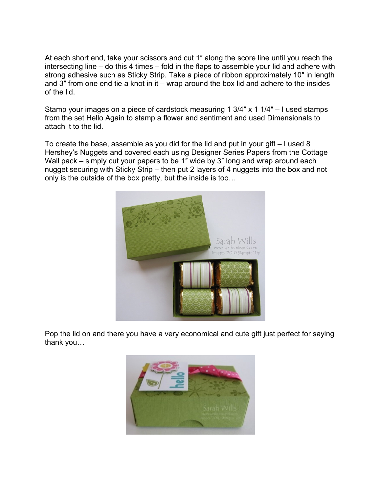At each short end, take your scissors and cut 1″ along the score line until you reach the intersecting line – do this 4 times – fold in the flaps to assemble your lid and adhere with strong adhesive such as Sticky Strip. Take a piece of ribbon approximately 10″ in length and 3″ from one end tie a knot in it – wrap around the box lid and adhere to the insides of the lid.

Stamp your images on a piece of cardstock measuring 1 3/4″ x 1 1/4″ – I used stamps from the set Hello Again to stamp a flower and sentiment and used Dimensionals to attach it to the lid.

To create the base, assemble as you did for the lid and put in your gift – I used 8 Hershey's Nuggets and covered each using Designer Series Papers from the Cottage Wall pack – simply cut your papers to be 1" wide by 3" long and wrap around each nugget securing with Sticky Strip – then put 2 layers of 4 nuggets into the box and not only is the outside of the box pretty, but the inside is too…



Pop the lid on and there you have a very economical and cute gift just perfect for saying thank you…